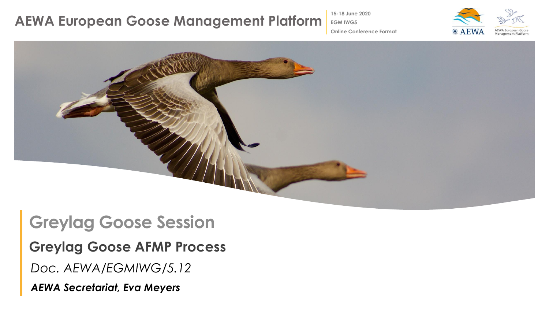**15-18 June 2020**

**EGM IWG5**



**Online Conference Format**



### **Greylag Goose Session**

**Greylag Goose AFMP Process**

*Doc. AEWA/EGMIWG/5.12*

*AEWA Secretariat, Eva Meyers*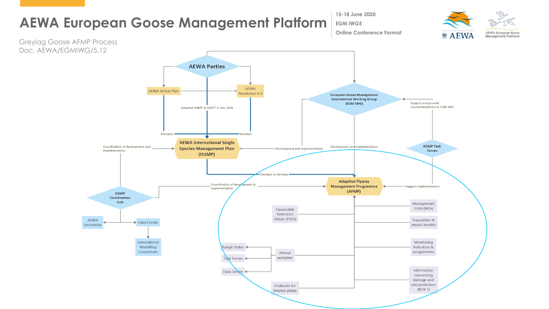

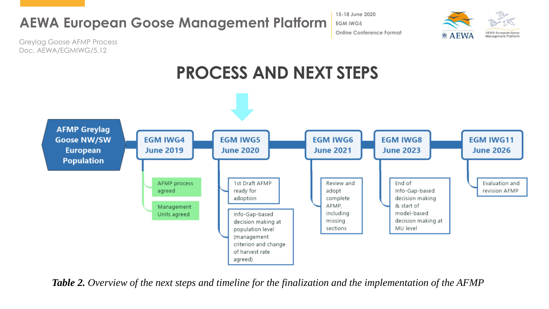**15-18 June 2020 EGM IWG5 Online Conference Format**



Greylag Goose AFMP Process Doc. AEWA/EGMIWG/5.12

# **PROCESS AND NEXT STEPS**



*Table 2. Overview of the next steps and timeline for the finalization and the implementation of the AFMP*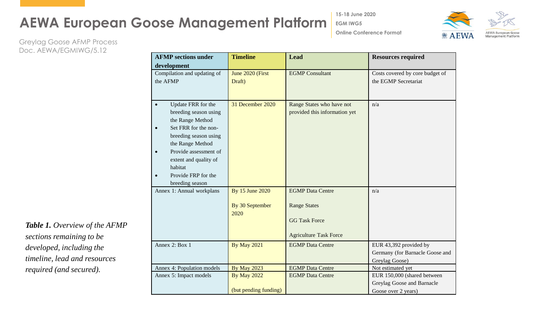**15-18 June 2020**

**Online Conference Format**

**EGM IWG5**

**AEWA European Goose @ AEWA Management Platform** 

Greylag Goose AFMP Process Doc. AEWA/EGMIWG/5.12

| <b>AFMP</b> sections under                                                                                                                                                                                                                                                         | <b>Timeline</b>                             | <b>Lead</b>                                                                                             | <b>Resources required</b>                                                        |
|------------------------------------------------------------------------------------------------------------------------------------------------------------------------------------------------------------------------------------------------------------------------------------|---------------------------------------------|---------------------------------------------------------------------------------------------------------|----------------------------------------------------------------------------------|
| development                                                                                                                                                                                                                                                                        |                                             |                                                                                                         |                                                                                  |
| Compilation and updating of<br>the AFMP                                                                                                                                                                                                                                            | June 2020 (First<br>Draft)                  | <b>EGMP</b> Consultant                                                                                  | Costs covered by core budget of<br>the EGMP Secretariat                          |
| Update FRR for the<br>$\bullet$<br>breeding season using<br>the Range Method<br>Set FRR for the non-<br>$\bullet$<br>breeding season using<br>the Range Method<br>Provide assessment of<br>$\bullet$<br>extent and quality of<br>habitat<br>Provide FRP for the<br>breeding season | 31 December 2020                            | Range States who have not<br>provided this information yet                                              | n/a                                                                              |
| Annex 1: Annual workplans                                                                                                                                                                                                                                                          | By 15 June 2020<br>By 30 September<br>2020  | <b>EGMP</b> Data Centre<br><b>Range States</b><br><b>GG Task Force</b><br><b>Agriculture Task Force</b> | n/a                                                                              |
| Annex 2: Box 1                                                                                                                                                                                                                                                                     | <b>By May 2021</b>                          | <b>EGMP</b> Data Centre                                                                                 | EUR 43,392 provided by<br>Germany (for Barnacle Goose and<br>Greylag Goose)      |
| Annex 4: Population models                                                                                                                                                                                                                                                         | <b>By May 2023</b>                          | <b>EGMP</b> Data Centre                                                                                 | Not estimated yet                                                                |
| Annex 5: Impact models                                                                                                                                                                                                                                                             | <b>By May 2022</b><br>(but pending funding) | <b>EGMP</b> Data Centre                                                                                 | EUR 150,000 (shared between<br>Greylag Goose and Barnacle<br>Goose over 2 years) |

*Table 1. Overview of the AFMP sections remaining to be developed, including the timeline, lead and resources required (and secured).*